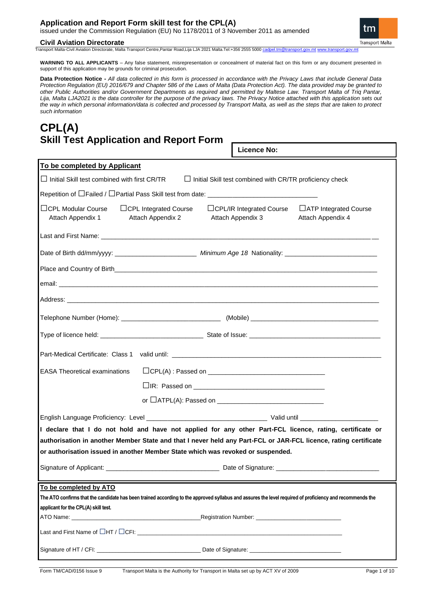# **Application and Report Form skill test for the CPL(A)**

issued under the Commission Regulation (EU) No 1178/2011 of 3 November 2011 as amended

# **Civil Aviation Directorate**

**Transport Malta** 

tm

Transport Malta-Civil Aviation Directorate, Malta Transport Centre,Pantar Road,Lija LJA 2021 Malta.Tel:+356 2555 5000

**WARNING TO ALL APPLICANTS** – Any false statement, misrepresentation or concealment of material fact on this form or any document presented in support of this application may be grounds for criminal prosecution.

**Data Protection Notice -** *All data collected in this form is processed in accordance with the Privacy Laws that include General Data Protection Regulation (EU) 2016/679 and Chapter 586 of the Laws of Malta (Data Protection Act). The data provided may be granted to other Public Authorities and/or Government Departments as required and permitted by Maltese Law. Transport Malta of Triq Pantar, Lija, Malta LJA2021 is the data controller for the purpose of the privacy laws. The Privacy Notice attached with this application sets out the way in which personal information/data is collected and processed by Transport Malta, as well as the steps that are taken to protect such information*

# **CPL(A) Skill Test Application and Report Form**

**Licence No:**

| To be completed by Applicant                                                                                                                                                                                                         |                                                                                                                                                           |                                                                                                                                                                                                                                |  |  |  |  |  |  |
|--------------------------------------------------------------------------------------------------------------------------------------------------------------------------------------------------------------------------------------|-----------------------------------------------------------------------------------------------------------------------------------------------------------|--------------------------------------------------------------------------------------------------------------------------------------------------------------------------------------------------------------------------------|--|--|--|--|--|--|
| $\Box$ Initial Skill test combined with first CR/TR $\Box$ Initial Skill test combined with CR/TR proficiency check                                                                                                                  |                                                                                                                                                           |                                                                                                                                                                                                                                |  |  |  |  |  |  |
|                                                                                                                                                                                                                                      |                                                                                                                                                           |                                                                                                                                                                                                                                |  |  |  |  |  |  |
| $\Box$ CPL Modular Course<br>Attach Appendix 1                                                                                                                                                                                       | $\Box$ CPL Integrated Course<br>$\Box$ CPL/IR Integrated Course<br>□ ATP Integrated Course<br>Attach Appendix 2<br>Attach Appendix 3<br>Attach Appendix 4 |                                                                                                                                                                                                                                |  |  |  |  |  |  |
|                                                                                                                                                                                                                                      |                                                                                                                                                           |                                                                                                                                                                                                                                |  |  |  |  |  |  |
|                                                                                                                                                                                                                                      |                                                                                                                                                           |                                                                                                                                                                                                                                |  |  |  |  |  |  |
|                                                                                                                                                                                                                                      |                                                                                                                                                           |                                                                                                                                                                                                                                |  |  |  |  |  |  |
| email: <u>example and the contract of the contract of the contract of the contract of the contract of the contract of the contract of the contract of the contract of the contract of the contract of the contract of the contra</u> |                                                                                                                                                           |                                                                                                                                                                                                                                |  |  |  |  |  |  |
|                                                                                                                                                                                                                                      |                                                                                                                                                           |                                                                                                                                                                                                                                |  |  |  |  |  |  |
|                                                                                                                                                                                                                                      |                                                                                                                                                           |                                                                                                                                                                                                                                |  |  |  |  |  |  |
|                                                                                                                                                                                                                                      |                                                                                                                                                           |                                                                                                                                                                                                                                |  |  |  |  |  |  |
|                                                                                                                                                                                                                                      |                                                                                                                                                           |                                                                                                                                                                                                                                |  |  |  |  |  |  |
| <b>EASA Theoretical examinations</b>                                                                                                                                                                                                 |                                                                                                                                                           |                                                                                                                                                                                                                                |  |  |  |  |  |  |
|                                                                                                                                                                                                                                      |                                                                                                                                                           |                                                                                                                                                                                                                                |  |  |  |  |  |  |
|                                                                                                                                                                                                                                      |                                                                                                                                                           |                                                                                                                                                                                                                                |  |  |  |  |  |  |
|                                                                                                                                                                                                                                      |                                                                                                                                                           |                                                                                                                                                                                                                                |  |  |  |  |  |  |
| I declare that I do not hold and have not applied for any other Part-FCL licence, rating, certificate or                                                                                                                             |                                                                                                                                                           |                                                                                                                                                                                                                                |  |  |  |  |  |  |
| authorisation in another Member State and that I never held any Part-FCL or JAR-FCL licence, rating certificate                                                                                                                      |                                                                                                                                                           |                                                                                                                                                                                                                                |  |  |  |  |  |  |
| or authorisation issued in another Member State which was revoked or suspended.                                                                                                                                                      |                                                                                                                                                           |                                                                                                                                                                                                                                |  |  |  |  |  |  |
|                                                                                                                                                                                                                                      |                                                                                                                                                           |                                                                                                                                                                                                                                |  |  |  |  |  |  |
| To be completed by ATO                                                                                                                                                                                                               |                                                                                                                                                           |                                                                                                                                                                                                                                |  |  |  |  |  |  |
| The ATO confirms that the candidate has been trained according to the approved syllabus and assures the level required of proficiency and recommends the                                                                             |                                                                                                                                                           |                                                                                                                                                                                                                                |  |  |  |  |  |  |
| applicant for the CPL(A) skill test.                                                                                                                                                                                                 |                                                                                                                                                           |                                                                                                                                                                                                                                |  |  |  |  |  |  |
|                                                                                                                                                                                                                                      |                                                                                                                                                           | Registration Number: Neglistration of the state of the state of the state of the state of the state of the state of the state of the state of the state of the state of the state of the state of the state of the state of th |  |  |  |  |  |  |
|                                                                                                                                                                                                                                      |                                                                                                                                                           |                                                                                                                                                                                                                                |  |  |  |  |  |  |
|                                                                                                                                                                                                                                      |                                                                                                                                                           |                                                                                                                                                                                                                                |  |  |  |  |  |  |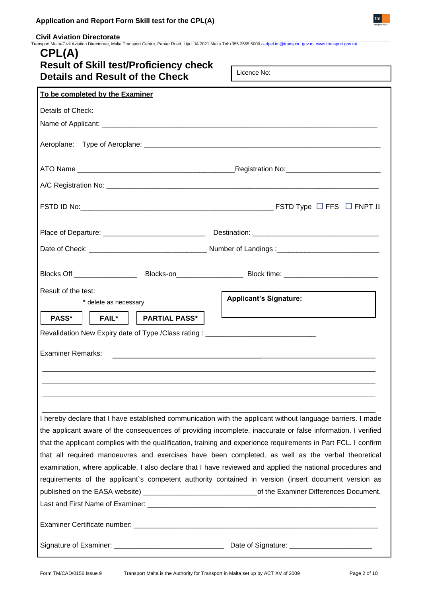**\_Civil Aviation Directorate**<br>Transport Malta-Civil Aviation Directorate, Malta Transport Centre, Pantar Road, Lija LJA 2021 Malta.Tel:+356 2555 5000 <u>[cadpel.tm@transport.gov.mt](mailto:cadpel.tm@transport.gov.mt) [www.transport.gov.mt](http://www.transport.gov.mt/)</u>

| CPL(A)<br><b>Result of Skill test/Proficiency check</b>                                                                                                                                                            |  |  |  |  |  |  |
|--------------------------------------------------------------------------------------------------------------------------------------------------------------------------------------------------------------------|--|--|--|--|--|--|
| Licence No:<br>Details and Result of the Check                                                                                                                                                                     |  |  |  |  |  |  |
| To be completed by the Examiner                                                                                                                                                                                    |  |  |  |  |  |  |
| Details of Check:                                                                                                                                                                                                  |  |  |  |  |  |  |
|                                                                                                                                                                                                                    |  |  |  |  |  |  |
|                                                                                                                                                                                                                    |  |  |  |  |  |  |
|                                                                                                                                                                                                                    |  |  |  |  |  |  |
|                                                                                                                                                                                                                    |  |  |  |  |  |  |
| FSTD ID No: $\Box$ FNPT II                                                                                                                                                                                         |  |  |  |  |  |  |
|                                                                                                                                                                                                                    |  |  |  |  |  |  |
|                                                                                                                                                                                                                    |  |  |  |  |  |  |
| Blocks Off ___________________________Blocks-on_________________________Block time: __________________________                                                                                                     |  |  |  |  |  |  |
| Result of the test:<br><b>Applicant's Signature:</b><br>* delete as necessary                                                                                                                                      |  |  |  |  |  |  |
| PASS*<br>    FAIL*     PARTIAL PASS*                                                                                                                                                                               |  |  |  |  |  |  |
| Revalidation New Expiry date of Type /Class rating : ___________________________                                                                                                                                   |  |  |  |  |  |  |
| <b>Examiner Remarks:</b>                                                                                                                                                                                           |  |  |  |  |  |  |
|                                                                                                                                                                                                                    |  |  |  |  |  |  |
|                                                                                                                                                                                                                    |  |  |  |  |  |  |
|                                                                                                                                                                                                                    |  |  |  |  |  |  |
| I hereby declare that I have established communication with the applicant without language barriers. I made                                                                                                        |  |  |  |  |  |  |
| the applicant aware of the consequences of providing incomplete, inaccurate or false information. I verified                                                                                                       |  |  |  |  |  |  |
| that the applicant complies with the qualification, training and experience requirements in Part FCL. I confirm                                                                                                    |  |  |  |  |  |  |
| that all required manoeuvres and exercises have been completed, as well as the verbal theoretical                                                                                                                  |  |  |  |  |  |  |
| examination, where applicable. I also declare that I have reviewed and applied the national procedures and<br>requirements of the applicant's competent authority contained in version (insert document version as |  |  |  |  |  |  |
| published on the EASA website) __________________________________of the Examiner Differences Document.                                                                                                             |  |  |  |  |  |  |
|                                                                                                                                                                                                                    |  |  |  |  |  |  |
|                                                                                                                                                                                                                    |  |  |  |  |  |  |
|                                                                                                                                                                                                                    |  |  |  |  |  |  |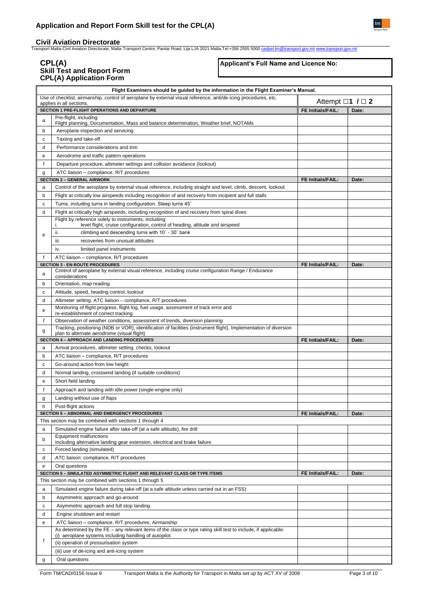**\_Civil Aviation Directorate**<br>Transport Malta-Civil Aviation Directorate, Malta Transport Centre, Pantar Road, Lija LJA 2021 Malta.Tel:+356 2555 5000 <u>[cadpel.tm@transport.gov.mt](mailto:cadpel.tm@transport.gov.mt) [www.transport.gov.mt](http://www.transport.gov.mt/)</u>

# **CPL(A) Skill Test and Report Form CPL(A) Application Form**

# **Applicant's Full Name and Licence No:**

|   | Flight Examiners should be guided by the information in the Flight Examiner's Manual.                                                        |                                   |       |  |  |  |  |
|---|----------------------------------------------------------------------------------------------------------------------------------------------|-----------------------------------|-------|--|--|--|--|
|   | Use of checklist, airmanship, control of aeroplane by external visual reference, anti/de-icing procedures, etc.<br>applies in all sections.  | Attempt $\square$ 1 / $\square$ 2 |       |  |  |  |  |
|   | SECTION 1 PRE-FLIGHT OPERATIONS AND DEPARTURE                                                                                                | <b>FE Initials/FAIL:</b>          | Date: |  |  |  |  |
| a | Pre-flight, including:<br>Flight planning, Documentation, Mass and balance determination, Weather brief, NOTAMs                              |                                   |       |  |  |  |  |
| b | Aeroplane inspection and servicing                                                                                                           |                                   |       |  |  |  |  |
| c | Taxiing and take-off                                                                                                                         |                                   |       |  |  |  |  |
| d | Performance considerations and trim                                                                                                          |                                   |       |  |  |  |  |
| e | Aerodrome and traffic pattern operations                                                                                                     |                                   |       |  |  |  |  |
| f | Departure procedure, altimeter settings and collision avoidance (lookout)                                                                    |                                   |       |  |  |  |  |
| g | ATC liaison - compliance, R/T procedures                                                                                                     |                                   |       |  |  |  |  |
|   | <b>SECTION 2 - GENERAL AIRWORK</b>                                                                                                           | FE Initials/FAIL:                 | Date: |  |  |  |  |
| a | Control of the aeroplane by external visual reference, including straight and level, climb, descent, lookout                                 |                                   |       |  |  |  |  |
| b | Flight at critically low airspeeds including recognition of and recovery from incipient and full stalls                                      |                                   |       |  |  |  |  |
| c | Turns, including turns in landing configuration. Steep turns 45°                                                                             |                                   |       |  |  |  |  |
| d | Flight at critically high airspeeds, including recognition of and recovery from spiral dives                                                 |                                   |       |  |  |  |  |
|   | Flight by reference solely to instruments, including:<br>level flight, cruise configuration, control of heading, altitude and airspeed<br>İ. |                                   |       |  |  |  |  |
| e | climbing and descending turns with 10° - 30° bank<br>ii.                                                                                     |                                   |       |  |  |  |  |
|   | recoveries from unusual attitudes<br>iii.                                                                                                    |                                   |       |  |  |  |  |
|   | iv.<br>limited panel instruments                                                                                                             |                                   |       |  |  |  |  |
| f | ATC liaison - compliance, R/T procedures                                                                                                     |                                   |       |  |  |  |  |
|   | <b>SECTION 3 - EN-ROUTE PROCEDURES</b>                                                                                                       | FE Initials/FAIL:                 | Date: |  |  |  |  |
| a | Control of aeroplane by external visual reference, including cruise configuration Range / Endurance<br>considerations                        |                                   |       |  |  |  |  |
| b | Orientation, map reading                                                                                                                     |                                   |       |  |  |  |  |
| c | Altitude, speed, heading control, lookout                                                                                                    |                                   |       |  |  |  |  |
| d | Altimeter setting. ATC liaison - compliance, R/T procedures                                                                                  |                                   |       |  |  |  |  |
| e | Monitoring of flight progress, flight log, fuel usage, assessment of track error and                                                         |                                   |       |  |  |  |  |
| f | re-establishment of correct tracking<br>Observation of weather conditions, assessment of trends, diversion planning                          |                                   |       |  |  |  |  |
|   | Tracking, positioning (NDB or VOR), identification of facilities (instrument flight). Implementation of diversion                            |                                   |       |  |  |  |  |
| g | plan to alternate aerodrome (visual flight)<br><b>SECTION 4 - APPROACH AND LANDING PROCEDURES</b>                                            |                                   |       |  |  |  |  |
| a | Arrival procedures, altimeter setting, checks, lookout                                                                                       | FE Initials/FAIL:                 | Date: |  |  |  |  |
| b | ATC liaison - compliance, R/T procedures                                                                                                     |                                   |       |  |  |  |  |
| c | Go-around action from low height                                                                                                             |                                   |       |  |  |  |  |
| d | Normal landing, crosswind landing (if suitable conditions)                                                                                   |                                   |       |  |  |  |  |
| e | Short field landing                                                                                                                          |                                   |       |  |  |  |  |
| f | Approach and landing with idle power (single-engine only)                                                                                    |                                   |       |  |  |  |  |
| g | Landing without use of flaps                                                                                                                 |                                   |       |  |  |  |  |
| h | Post-flight actions                                                                                                                          |                                   |       |  |  |  |  |
|   | SECTION 5 - ABNORMAL AND EMERGENCY PROCEDURES                                                                                                | FE Initials/FAIL:                 | Date: |  |  |  |  |
|   | This section may be combined with sections 1 through 4                                                                                       |                                   |       |  |  |  |  |
| a | Simulated engine failure after take-off (at a safe altitude), fire drill                                                                     |                                   |       |  |  |  |  |
| b | Equipment malfunctions                                                                                                                       |                                   |       |  |  |  |  |
|   | Including alternative landing gear extension, electrical and brake failure<br>Forced landing (simulated)                                     |                                   |       |  |  |  |  |
| с |                                                                                                                                              |                                   |       |  |  |  |  |
| d | ATC liaison: compliance, R/T procedures                                                                                                      |                                   |       |  |  |  |  |
| е | Oral questions<br>SECTION 6 - SIMULATED ASYMMETRIC FLIGHT AND RELEVANT CLASS OR TYPE ITEMS                                                   | FE Initials/FAIL:                 | Date: |  |  |  |  |
|   | This section may be combined with sections 1 through 5                                                                                       |                                   |       |  |  |  |  |
| a | Simulated engine failure during take-off (at a safe altitude unless carried out in an FSS)                                                   |                                   |       |  |  |  |  |
| b | Asymmetric approach and go-around                                                                                                            |                                   |       |  |  |  |  |
| c | Asymmetric approach and full stop landing                                                                                                    |                                   |       |  |  |  |  |
| d | Engine shutdown and restart                                                                                                                  |                                   |       |  |  |  |  |
| e | ATC liaison - compliance, R/T procedures, Airmanship                                                                                         |                                   |       |  |  |  |  |
|   | As determined by the FE – any relevant items of the class or type rating skill test to include, if applicable:                               |                                   |       |  |  |  |  |
| t | (i) aeroplane systems including handling of autopilot                                                                                        |                                   |       |  |  |  |  |
|   | (ii) operation of pressurisation system                                                                                                      |                                   |       |  |  |  |  |
|   | (iii) use of de-icing and anti-icing system                                                                                                  |                                   |       |  |  |  |  |
| g | Oral questions                                                                                                                               |                                   |       |  |  |  |  |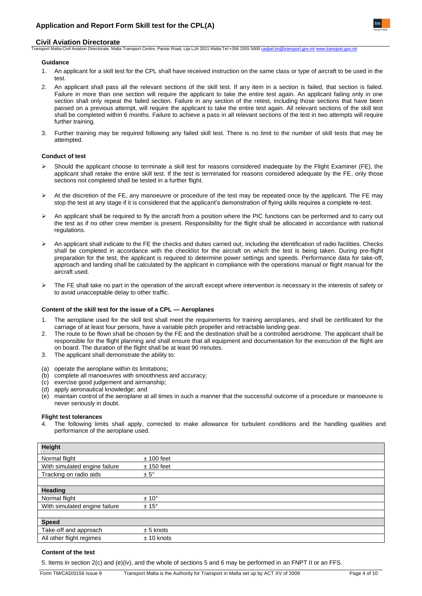# **Civil Aviation Directorate**

Transport Malta-Civil Aviation Directorate, Malta Transport Centre, Pantar Road, Lija LJA 2021 Malta.Tel:+356 2555 5000 [cadpel.tm@transport.gov.mt](mailto:cadpel.tm@transport.gov.mt) [www.transport.gov.mt](http://www.transport.gov.mt/)

#### **Guidance**

- 1. An applicant for a skill test for the CPL shall have received instruction on the same class or type of aircraft to be used in the test.
- 2. An applicant shall pass all the relevant sections of the skill test. If any item in a section is failed, that section is failed. Failure in more than one section will require the applicant to take the entire test again. An applicant failing only in one section shall only repeat the failed section. Failure in any section of the retest, including those sections that have been passed on a previous attempt, will require the applicant to take the entire test again. All relevant sections of the skill test shall be completed within 6 months. Failure to achieve a pass in all relevant sections of the test in two attempts will require further training.
- 3. Further training may be required following any failed skill test. There is no limit to the number of skill tests that may be attempted.

## **Conduct of test**

- ➢ Should the applicant choose to terminate a skill test for reasons considered inadequate by the Flight Examiner (FE), the applicant shall retake the entire skill test. If the test is terminated for reasons considered adequate by the FE, only those sections not completed shall be tested in a further flight.
- $\triangleright$  At the discretion of the FE, any manoeuvre or procedure of the test may be repeated once by the applicant. The FE may stop the test at any stage if it is considered that the applicant's demonstration of flying skills requires a complete re-test.
- An applicant shall be required to fly the aircraft from a position where the PIC functions can be performed and to carry out the test as if no other crew member is present. Responsibility for the flight shall be allocated in accordance with national regulations.
- ➢ An applicant shall indicate to the FE the checks and duties carried out, including the identification of radio facilities. Checks shall be completed in accordance with the checklist for the aircraft on which the test is being taken. During pre-flight preparation for the test, the applicant is required to determine power settings and speeds. Performance data for take-off, approach and landing shall be calculated by the applicant in compliance with the operations manual or flight manual for the aircraft used.
- ➢ The FE shall take no part in the operation of the aircraft except where intervention is necessary in the interests of safety or to avoid unacceptable delay to other traffic.

#### **Content of the skill test for the issue of a CPL — Aeroplanes**

- 1. The aeroplane used for the skill test shall meet the requirements for training aeroplanes, and shall be certificated for the carriage of at least four persons, have a variable pitch propeller and retractable landing gear.
- 2. The route to be flown shall be chosen by the FE and the destination shall be a controlled aerodrome. The applicant shall be responsible for the flight planning and shall ensure that all equipment and documentation for the execution of the flight are on board. The duration of the flight shall be at least 90 minutes.
- 3. The applicant shall demonstrate the ability to:
- (a) operate the aeroplane within its limitations;
- (b) complete all manoeuvres with smoothness and accuracy;
- (c) exercise good judgement and airmanship;
- (d) apply aeronautical knowledge; and
- (e) maintain control of the aeroplane at all times in such a manner that the successful outcome of a procedure or manoeuvre is never seriously in doubt.

# **Flight test tolerances**

The following limits shall apply, corrected to make allowance for turbulent conditions and the handling qualities and performance of the aeroplane used.

| <b>Height</b>                 |                |
|-------------------------------|----------------|
| Normal flight                 | $± 100$ feet   |
| With simulated engine failure | $± 150$ feet   |
| Tracking on radio aids        | $± 5^\circ$    |
|                               |                |
| <b>Heading</b>                |                |
| Normal flight                 | $± 10^{\circ}$ |
| With simulated engine failure | $± 15^{\circ}$ |
|                               |                |
| <b>Speed</b>                  |                |
| Take-off and approach         | $± 5$ knots    |
| All other flight regimes      | $± 10$ knots   |

# **Content of the test**

5. Items in section 2(c) and (e)(iv), and the whole of sections 5 and 6 may be performed in an FNPT II or an FFS.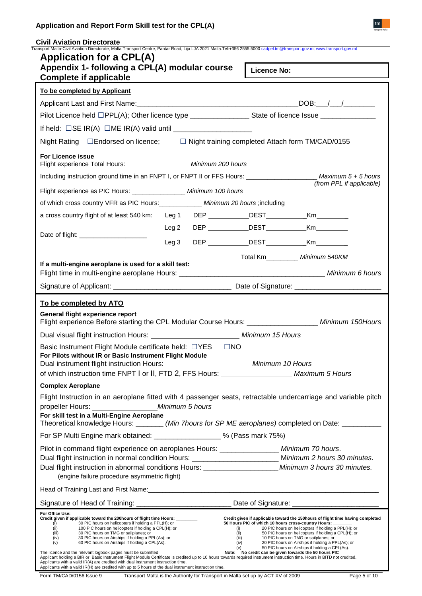| Application and Report Form Skill test for the CPL(A)                                                                                                                                                        |                                               |  |  |  |  |  |
|--------------------------------------------------------------------------------------------------------------------------------------------------------------------------------------------------------------|-----------------------------------------------|--|--|--|--|--|
| <b>Civil Aviation Directorate</b><br>Transport Malta-Civil Aviation Directorate, Malta Transport Centre, Pantar Road, Lija LJA 2021 Malta.Tel:+356 2555 5000 cadpel.tm@transport.gov.mt www.transport.gov.mt |                                               |  |  |  |  |  |
| <b>Application for a CPL(A)</b>                                                                                                                                                                              |                                               |  |  |  |  |  |
| Appendix 1- following a CPL(A) modular course<br><b>Complete if applicable</b>                                                                                                                               | Licence No:                                   |  |  |  |  |  |
| To be completed by Applicant                                                                                                                                                                                 |                                               |  |  |  |  |  |
|                                                                                                                                                                                                              | $DOB:$ $/$ $/$ $/$                            |  |  |  |  |  |
| Pilot Licence held □PPL(A); Other licence type __________________State of licence Issue ______________________                                                                                               |                                               |  |  |  |  |  |
|                                                                                                                                                                                                              |                                               |  |  |  |  |  |
| Night Rating □ Endorsed on licence; □ Night training completed Attach form TM/CAD/0155                                                                                                                       |                                               |  |  |  |  |  |
| <b>For Licence issue</b><br>Flight experience Total Hours: _____________________ Minimum 200 hours                                                                                                           |                                               |  |  |  |  |  |
| Including instruction ground time in an ENDT L or ENDT II or EES Hours:                                                                                                                                      | $M$ ovimum $\overline{F}$ $\overline{F}$ hour |  |  |  |  |  |

| Applicant Last and First Name: 1990 1990 1991 1992 1994                                                                                                                                                                                                                                                                                                                                                                                   |                  |  | DOB: / /                                                                                                       |                                                                                                                                                                                                                                                                                             |  |  |
|-------------------------------------------------------------------------------------------------------------------------------------------------------------------------------------------------------------------------------------------------------------------------------------------------------------------------------------------------------------------------------------------------------------------------------------------|------------------|--|----------------------------------------------------------------------------------------------------------------|---------------------------------------------------------------------------------------------------------------------------------------------------------------------------------------------------------------------------------------------------------------------------------------------|--|--|
|                                                                                                                                                                                                                                                                                                                                                                                                                                           |                  |  | Pilot Licence held □PPL(A); Other licence type __________________State of licence Issue ______________________ |                                                                                                                                                                                                                                                                                             |  |  |
|                                                                                                                                                                                                                                                                                                                                                                                                                                           |                  |  |                                                                                                                |                                                                                                                                                                                                                                                                                             |  |  |
| Night Rating □ Endorsed on licence; □ Night training completed Attach form TM/CAD/0155                                                                                                                                                                                                                                                                                                                                                    |                  |  |                                                                                                                |                                                                                                                                                                                                                                                                                             |  |  |
| <b>For Licence issue</b><br>Flight experience Total Hours: _____________________ Minimum 200 hours                                                                                                                                                                                                                                                                                                                                        |                  |  |                                                                                                                |                                                                                                                                                                                                                                                                                             |  |  |
| Including instruction ground time in an FNPT I, or FNPT II or FFS Hours: ________________________ Maximum 5 + 5 hours                                                                                                                                                                                                                                                                                                                     |                  |  |                                                                                                                |                                                                                                                                                                                                                                                                                             |  |  |
| Flight experience as PIC Hours: ________________ Minimum 100 hours                                                                                                                                                                                                                                                                                                                                                                        |                  |  |                                                                                                                | (from PPL if applicable)                                                                                                                                                                                                                                                                    |  |  |
| of which cross country VFR as PIC Hours: _____________ Minimum 20 hours ;including                                                                                                                                                                                                                                                                                                                                                        |                  |  |                                                                                                                |                                                                                                                                                                                                                                                                                             |  |  |
| a cross country flight of at least 540 km: Leg 1 DEP ____________DEST____________Km__________                                                                                                                                                                                                                                                                                                                                             |                  |  |                                                                                                                |                                                                                                                                                                                                                                                                                             |  |  |
|                                                                                                                                                                                                                                                                                                                                                                                                                                           | Leg 2            |  | DEP ____________DEST_____________Km_________                                                                   |                                                                                                                                                                                                                                                                                             |  |  |
|                                                                                                                                                                                                                                                                                                                                                                                                                                           | Leg <sub>3</sub> |  | DEP ____________DEST_____________Km_________                                                                   |                                                                                                                                                                                                                                                                                             |  |  |
|                                                                                                                                                                                                                                                                                                                                                                                                                                           |                  |  |                                                                                                                | Total Km__________ Minimum 540KM                                                                                                                                                                                                                                                            |  |  |
| If a multi-engine aeroplane is used for a skill test:                                                                                                                                                                                                                                                                                                                                                                                     |                  |  |                                                                                                                |                                                                                                                                                                                                                                                                                             |  |  |
|                                                                                                                                                                                                                                                                                                                                                                                                                                           |                  |  |                                                                                                                |                                                                                                                                                                                                                                                                                             |  |  |
|                                                                                                                                                                                                                                                                                                                                                                                                                                           |                  |  |                                                                                                                |                                                                                                                                                                                                                                                                                             |  |  |
| To be completed by ATO                                                                                                                                                                                                                                                                                                                                                                                                                    |                  |  |                                                                                                                |                                                                                                                                                                                                                                                                                             |  |  |
| General flight experience report<br>Flight experience Before starting the CPL Modular Course Hours: ____________________ Minimum 150Hours                                                                                                                                                                                                                                                                                                 |                  |  |                                                                                                                |                                                                                                                                                                                                                                                                                             |  |  |
| Dual visual flight instruction Hours: ___________________________ Minimum 15 Hours                                                                                                                                                                                                                                                                                                                                                        |                  |  |                                                                                                                |                                                                                                                                                                                                                                                                                             |  |  |
| Basic Instrument Flight Module certificate held: □YES □NO<br>For Pilots without IR or Basic Instrument Flight Module<br>Dual instrument flight instruction Hours: ________________________________ Minimum 10 Hours<br>of which instruction time FNPT I or II, FTD 2, FFS Hours: Maximum 5 Hours                                                                                                                                          |                  |  |                                                                                                                |                                                                                                                                                                                                                                                                                             |  |  |
| <b>Complex Aeroplane</b>                                                                                                                                                                                                                                                                                                                                                                                                                  |                  |  |                                                                                                                |                                                                                                                                                                                                                                                                                             |  |  |
| Flight Instruction in an aeroplane fitted with 4 passenger seats, retractable undercarriage and variable pitch                                                                                                                                                                                                                                                                                                                            |                  |  |                                                                                                                |                                                                                                                                                                                                                                                                                             |  |  |
|                                                                                                                                                                                                                                                                                                                                                                                                                                           |                  |  |                                                                                                                |                                                                                                                                                                                                                                                                                             |  |  |
| For skill test in a Multi-Engine Aeroplane<br>Theoretical knowledge Hours: _______ (Min 7hours for SP ME aeroplanes) completed on Date: __________                                                                                                                                                                                                                                                                                        |                  |  |                                                                                                                |                                                                                                                                                                                                                                                                                             |  |  |
| For SP Multi Engine mark obtained: ___________________% (Pass mark 75%)                                                                                                                                                                                                                                                                                                                                                                   |                  |  |                                                                                                                |                                                                                                                                                                                                                                                                                             |  |  |
| Pilot in command flight experience on aeroplanes Hours: ________________ Minimum 70 hours.                                                                                                                                                                                                                                                                                                                                                |                  |  |                                                                                                                |                                                                                                                                                                                                                                                                                             |  |  |
|                                                                                                                                                                                                                                                                                                                                                                                                                                           |                  |  | Dual flight instruction in normal condition Hours: ___________________________ Minimum 2 hours 30 minutes.     |                                                                                                                                                                                                                                                                                             |  |  |
| Dual flight instruction in abnormal conditions Hours: ________________________Minimum 3 hours 30 minutes.<br>(engine failure procedure asymmetric flight)                                                                                                                                                                                                                                                                                 |                  |  |                                                                                                                |                                                                                                                                                                                                                                                                                             |  |  |
|                                                                                                                                                                                                                                                                                                                                                                                                                                           |                  |  |                                                                                                                |                                                                                                                                                                                                                                                                                             |  |  |
|                                                                                                                                                                                                                                                                                                                                                                                                                                           |                  |  |                                                                                                                |                                                                                                                                                                                                                                                                                             |  |  |
| Signature of Head of Training: __________________________________ Date of Signature: _________________________<br>For Office Use:                                                                                                                                                                                                                                                                                                         |                  |  |                                                                                                                |                                                                                                                                                                                                                                                                                             |  |  |
| Credit given if applicable toward the 200 hours of flight time Hours:<br>30 PIC hours on helicopters if holding a PPL(H); or<br>(i)<br>100 PIC hours on helicopters if holding a CPL(H); or<br>(ii)<br>(iii)<br>30 PIC hours on TMG or sailplanes; or<br>(iv)<br>30 PIC hours on Airships if holding a PPL(As); or<br>(v)<br>60 PIC hours on Airships if holding a CPL(As).                                                               |                  |  | 50 Hours PIC of which 10 hours cross-country Hours: _<br>(ii)<br>(iii)<br>(iv)                                 | Credit given if applicable toward the 150 hours of flight time having completed<br>20 PIC hours on helicopters if holding a PPL(H); or<br>50 PIC hours on helicopters if holding a CPL(H); or<br>10 PIC hours on TMG or sailplanes; or<br>20 PIC hours on Airships if holding a PPL(As); or |  |  |
| The licence and the relevant logbook pages must be submitted<br>Applicant holding a BIR or Basic Instrument Flight Module Certificate is credited up to 10 hours towards required instrument instruction time. Hours in BITD not credited.<br>Applicants with a valid IR(A) are credited with dual instrument instruction time.<br>Applicants with a valid IR(H) are credited with up to 5 hours of the dual instrument instruction time. |                  |  | (v)<br>Note: No credit can be given towards the 50 hours PIC                                                   | 50 PIC hours on Airships if holding a CPL(As).                                                                                                                                                                                                                                              |  |  |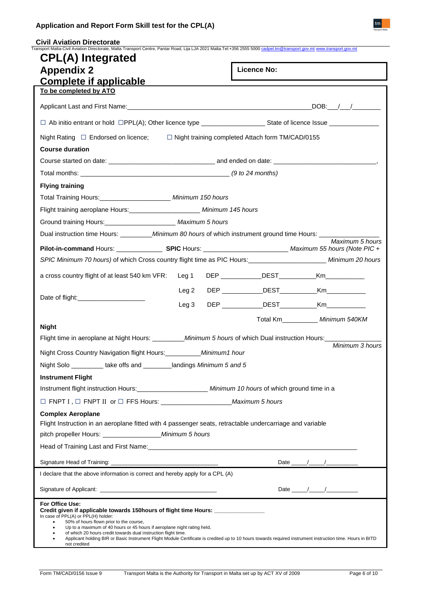| <b>CPL(A)</b> Integrated                                                                                                                                                                                                                                                                                                                                                                                                                                                                                                                                |                  |  |                                                         |                                                                                                                                                                                                                                                                                                                                |
|---------------------------------------------------------------------------------------------------------------------------------------------------------------------------------------------------------------------------------------------------------------------------------------------------------------------------------------------------------------------------------------------------------------------------------------------------------------------------------------------------------------------------------------------------------|------------------|--|---------------------------------------------------------|--------------------------------------------------------------------------------------------------------------------------------------------------------------------------------------------------------------------------------------------------------------------------------------------------------------------------------|
| <b>Appendix 2</b>                                                                                                                                                                                                                                                                                                                                                                                                                                                                                                                                       |                  |  | <b>Licence No:</b>                                      |                                                                                                                                                                                                                                                                                                                                |
| <b>Complete if applicable</b>                                                                                                                                                                                                                                                                                                                                                                                                                                                                                                                           |                  |  |                                                         |                                                                                                                                                                                                                                                                                                                                |
| To be completed by ATO                                                                                                                                                                                                                                                                                                                                                                                                                                                                                                                                  |                  |  |                                                         |                                                                                                                                                                                                                                                                                                                                |
|                                                                                                                                                                                                                                                                                                                                                                                                                                                                                                                                                         |                  |  |                                                         | $\overline{\text{DOB}}:$ $\frac{1}{2}$ $\frac{1}{2}$ $\frac{1}{2}$ $\frac{1}{2}$ $\frac{1}{2}$ $\frac{1}{2}$ $\frac{1}{2}$ $\frac{1}{2}$ $\frac{1}{2}$ $\frac{1}{2}$ $\frac{1}{2}$ $\frac{1}{2}$ $\frac{1}{2}$ $\frac{1}{2}$ $\frac{1}{2}$ $\frac{1}{2}$ $\frac{1}{2}$ $\frac{1}{2}$ $\frac{1}{2}$ $\frac{1}{2}$ $\frac{1}{2}$ |
|                                                                                                                                                                                                                                                                                                                                                                                                                                                                                                                                                         |                  |  |                                                         |                                                                                                                                                                                                                                                                                                                                |
| Night Rating $\Box$ Endorsed on licence;                                                                                                                                                                                                                                                                                                                                                                                                                                                                                                                |                  |  | $\Box$ Night training completed Attach form TM/CAD/0155 |                                                                                                                                                                                                                                                                                                                                |
| <b>Course duration</b>                                                                                                                                                                                                                                                                                                                                                                                                                                                                                                                                  |                  |  |                                                         |                                                                                                                                                                                                                                                                                                                                |
|                                                                                                                                                                                                                                                                                                                                                                                                                                                                                                                                                         |                  |  |                                                         |                                                                                                                                                                                                                                                                                                                                |
|                                                                                                                                                                                                                                                                                                                                                                                                                                                                                                                                                         |                  |  |                                                         |                                                                                                                                                                                                                                                                                                                                |
| <b>Flying training</b>                                                                                                                                                                                                                                                                                                                                                                                                                                                                                                                                  |                  |  |                                                         |                                                                                                                                                                                                                                                                                                                                |
| Total Training Hours: ______________________ Minimum 150 hours                                                                                                                                                                                                                                                                                                                                                                                                                                                                                          |                  |  |                                                         |                                                                                                                                                                                                                                                                                                                                |
| Flight training aeroplane Hours: _______________________ Minimum 145 hours                                                                                                                                                                                                                                                                                                                                                                                                                                                                              |                  |  |                                                         |                                                                                                                                                                                                                                                                                                                                |
| Ground training Hours: _______________________ Maximum 5 hours                                                                                                                                                                                                                                                                                                                                                                                                                                                                                          |                  |  |                                                         |                                                                                                                                                                                                                                                                                                                                |
| Dual instruction time Hours: __________ Minimum 80 hours of which instrument ground time Hours: ____                                                                                                                                                                                                                                                                                                                                                                                                                                                    |                  |  |                                                         |                                                                                                                                                                                                                                                                                                                                |
|                                                                                                                                                                                                                                                                                                                                                                                                                                                                                                                                                         |                  |  |                                                         | Maximum 5 hours                                                                                                                                                                                                                                                                                                                |
| SPIC Minimum 70 hours) of which Cross country flight time as PIC Hours: ________________________ Minimum 20 hours                                                                                                                                                                                                                                                                                                                                                                                                                                       |                  |  |                                                         |                                                                                                                                                                                                                                                                                                                                |
|                                                                                                                                                                                                                                                                                                                                                                                                                                                                                                                                                         |                  |  |                                                         |                                                                                                                                                                                                                                                                                                                                |
| a cross country flight of at least 540 km VFR: Leg 1                                                                                                                                                                                                                                                                                                                                                                                                                                                                                                    |                  |  |                                                         |                                                                                                                                                                                                                                                                                                                                |
|                                                                                                                                                                                                                                                                                                                                                                                                                                                                                                                                                         | Leg <sub>2</sub> |  |                                                         |                                                                                                                                                                                                                                                                                                                                |
|                                                                                                                                                                                                                                                                                                                                                                                                                                                                                                                                                         | Leg <sub>3</sub> |  |                                                         |                                                                                                                                                                                                                                                                                                                                |
|                                                                                                                                                                                                                                                                                                                                                                                                                                                                                                                                                         |                  |  | Total Km Minimum 540KM                                  |                                                                                                                                                                                                                                                                                                                                |
| <b>Night</b>                                                                                                                                                                                                                                                                                                                                                                                                                                                                                                                                            |                  |  |                                                         |                                                                                                                                                                                                                                                                                                                                |
| Flight time in aeroplane at Night Hours: __________ Minimum 5 hours of which Dual instruction Hours: _________                                                                                                                                                                                                                                                                                                                                                                                                                                          |                  |  |                                                         | Minimum 3 hours                                                                                                                                                                                                                                                                                                                |
| Night Cross Country Navigation flight Hours: _________ Minimum1 hour                                                                                                                                                                                                                                                                                                                                                                                                                                                                                    |                  |  |                                                         |                                                                                                                                                                                                                                                                                                                                |
| Night Solo _________ take offs and _______landings Minimum 5 and 5                                                                                                                                                                                                                                                                                                                                                                                                                                                                                      |                  |  |                                                         |                                                                                                                                                                                                                                                                                                                                |
| <b>Instrument Flight</b>                                                                                                                                                                                                                                                                                                                                                                                                                                                                                                                                |                  |  |                                                         |                                                                                                                                                                                                                                                                                                                                |
| Instrument flight instruction Hours: _________________________ Minimum 10 hours of which ground time in a                                                                                                                                                                                                                                                                                                                                                                                                                                               |                  |  |                                                         |                                                                                                                                                                                                                                                                                                                                |
|                                                                                                                                                                                                                                                                                                                                                                                                                                                                                                                                                         |                  |  |                                                         |                                                                                                                                                                                                                                                                                                                                |
| <b>Complex Aeroplane</b>                                                                                                                                                                                                                                                                                                                                                                                                                                                                                                                                |                  |  |                                                         |                                                                                                                                                                                                                                                                                                                                |
| Flight Instruction in an aeroplane fitted with 4 passenger seats, retractable undercarriage and variable                                                                                                                                                                                                                                                                                                                                                                                                                                                |                  |  |                                                         |                                                                                                                                                                                                                                                                                                                                |
|                                                                                                                                                                                                                                                                                                                                                                                                                                                                                                                                                         |                  |  |                                                         |                                                                                                                                                                                                                                                                                                                                |
|                                                                                                                                                                                                                                                                                                                                                                                                                                                                                                                                                         |                  |  |                                                         |                                                                                                                                                                                                                                                                                                                                |
|                                                                                                                                                                                                                                                                                                                                                                                                                                                                                                                                                         |                  |  |                                                         |                                                                                                                                                                                                                                                                                                                                |
| I declare that the above information is correct and hereby apply for a CPL (A)                                                                                                                                                                                                                                                                                                                                                                                                                                                                          |                  |  |                                                         |                                                                                                                                                                                                                                                                                                                                |
|                                                                                                                                                                                                                                                                                                                                                                                                                                                                                                                                                         |                  |  |                                                         | Date $\frac{1}{\sqrt{2\pi}}$                                                                                                                                                                                                                                                                                                   |
| For Office Use:<br>Credit given if applicable towards 150hours of flight time Hours: ______________<br>In case of PPL(A) or PPL(H) holder:<br>50% of hours flown prior to the course,<br>$\bullet$<br>Up to a maximum of 40 hours or 45 hours if aeroplane night rating held,<br>$\bullet$<br>of which 20 hours credit towards dual instruction flight time.<br>$\bullet$<br>Applicant holding BIR or Basic Instrument Flight Module Certificate is credited up to 10 hours towards required instrument instruction time. Hours in BITD<br>not credited |                  |  |                                                         |                                                                                                                                                                                                                                                                                                                                |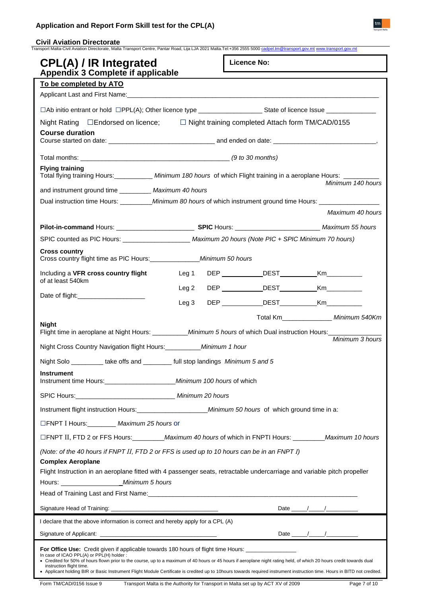# **Application and Report Form Skill test for the CPL(A)**

| <b>CPL(A) / IR Integrated</b><br>Appendix 3 Complete if applicable                                                                                                                                |                  | <b>Licence No:</b>                               |                                                                                                                                                                                                                                                                                                                                                                                                                  |  |
|---------------------------------------------------------------------------------------------------------------------------------------------------------------------------------------------------|------------------|--------------------------------------------------|------------------------------------------------------------------------------------------------------------------------------------------------------------------------------------------------------------------------------------------------------------------------------------------------------------------------------------------------------------------------------------------------------------------|--|
| To be completed by ATO                                                                                                                                                                            |                  |                                                  |                                                                                                                                                                                                                                                                                                                                                                                                                  |  |
|                                                                                                                                                                                                   |                  |                                                  |                                                                                                                                                                                                                                                                                                                                                                                                                  |  |
|                                                                                                                                                                                                   |                  |                                                  |                                                                                                                                                                                                                                                                                                                                                                                                                  |  |
| Night Rating □ Endorsed on licence; □ Night training completed Attach form TM/CAD/0155                                                                                                            |                  |                                                  |                                                                                                                                                                                                                                                                                                                                                                                                                  |  |
| <b>Course duration</b>                                                                                                                                                                            |                  |                                                  |                                                                                                                                                                                                                                                                                                                                                                                                                  |  |
|                                                                                                                                                                                                   |                  |                                                  |                                                                                                                                                                                                                                                                                                                                                                                                                  |  |
|                                                                                                                                                                                                   |                  |                                                  |                                                                                                                                                                                                                                                                                                                                                                                                                  |  |
| <b>Flying training</b><br>Total flying training Hours: ___________ Minimum 180 hours of which Flight training in a aeroplane Hours: ______                                                        |                  |                                                  |                                                                                                                                                                                                                                                                                                                                                                                                                  |  |
|                                                                                                                                                                                                   |                  |                                                  | Minimum 140 hours                                                                                                                                                                                                                                                                                                                                                                                                |  |
| and instrument ground time __________ Maximum 40 hours<br>Dual instruction time Hours: _________________Minimum 80 hours of which instrument ground time Hours: _________________________________ |                  |                                                  |                                                                                                                                                                                                                                                                                                                                                                                                                  |  |
|                                                                                                                                                                                                   |                  |                                                  | Maximum 40 hours                                                                                                                                                                                                                                                                                                                                                                                                 |  |
|                                                                                                                                                                                                   |                  |                                                  |                                                                                                                                                                                                                                                                                                                                                                                                                  |  |
|                                                                                                                                                                                                   |                  |                                                  |                                                                                                                                                                                                                                                                                                                                                                                                                  |  |
| <b>Cross country</b>                                                                                                                                                                              |                  |                                                  |                                                                                                                                                                                                                                                                                                                                                                                                                  |  |
| Cross country flight time as PIC Hours: _______________ Minimum 50 hours                                                                                                                          |                  |                                                  |                                                                                                                                                                                                                                                                                                                                                                                                                  |  |
| Including a VFR cross country flight                                                                                                                                                              | Leg 1            | DEP ____________DEST____________Km___________    |                                                                                                                                                                                                                                                                                                                                                                                                                  |  |
| of at least 540km                                                                                                                                                                                 | Leg <sub>2</sub> | DEP _____________DEST_____________Km____________ |                                                                                                                                                                                                                                                                                                                                                                                                                  |  |
| Date of flight: _______________________                                                                                                                                                           | Leg <sub>3</sub> | DEP DEST Km                                      |                                                                                                                                                                                                                                                                                                                                                                                                                  |  |
|                                                                                                                                                                                                   |                  |                                                  | Total Km________________ Minimum 540Km                                                                                                                                                                                                                                                                                                                                                                           |  |
| <b>Night</b>                                                                                                                                                                                      |                  |                                                  |                                                                                                                                                                                                                                                                                                                                                                                                                  |  |
|                                                                                                                                                                                                   |                  |                                                  | Minimum 3 hours                                                                                                                                                                                                                                                                                                                                                                                                  |  |
| Night Cross Country Navigation flight Hours: __________ Minimum 1 hour                                                                                                                            |                  |                                                  |                                                                                                                                                                                                                                                                                                                                                                                                                  |  |
| Night Solo __________ take offs and ________ full stop landings Minimum 5 and 5                                                                                                                   |                  |                                                  |                                                                                                                                                                                                                                                                                                                                                                                                                  |  |
| <b>Instrument</b><br>Instrument time Hours: _________________________ Minimum 100 hours of which                                                                                                  |                  |                                                  |                                                                                                                                                                                                                                                                                                                                                                                                                  |  |
|                                                                                                                                                                                                   |                  |                                                  |                                                                                                                                                                                                                                                                                                                                                                                                                  |  |
|                                                                                                                                                                                                   |                  |                                                  |                                                                                                                                                                                                                                                                                                                                                                                                                  |  |
| Instrument flight instruction Hours:<br><b>Minimum 50 hours</b> of which ground time in a:                                                                                                        |                  |                                                  |                                                                                                                                                                                                                                                                                                                                                                                                                  |  |
| □FNPT I Hours: ________ Maximum 25 hours or                                                                                                                                                       |                  |                                                  |                                                                                                                                                                                                                                                                                                                                                                                                                  |  |
| □FNPT II, FTD 2 or FFS Hours: __________Maximum 40 hours of which in FNPTI Hours: _________Maximum 10 hours                                                                                       |                  |                                                  |                                                                                                                                                                                                                                                                                                                                                                                                                  |  |
| (Note: of the 40 hours if FNPT II, FTD 2 or FFS is used up to 10 hours can be in an FNPT I)                                                                                                       |                  |                                                  |                                                                                                                                                                                                                                                                                                                                                                                                                  |  |
| <b>Complex Aeroplane</b>                                                                                                                                                                          |                  |                                                  |                                                                                                                                                                                                                                                                                                                                                                                                                  |  |
| Flight Instruction in an aeroplane fitted with 4 passenger seats, retractable undercarriage and variable pitch propeller                                                                          |                  |                                                  |                                                                                                                                                                                                                                                                                                                                                                                                                  |  |
|                                                                                                                                                                                                   |                  |                                                  |                                                                                                                                                                                                                                                                                                                                                                                                                  |  |
|                                                                                                                                                                                                   |                  |                                                  |                                                                                                                                                                                                                                                                                                                                                                                                                  |  |
| I declare that the above information is correct and hereby apply for a CPL (A)                                                                                                                    |                  |                                                  | Date $\frac{1}{\sqrt{1-\frac{1}{2}}}\frac{1}{\sqrt{1-\frac{1}{2}}\sqrt{1-\frac{1}{2}}\sqrt{1-\frac{1}{2}}\sqrt{1-\frac{1}{2}}\sqrt{1-\frac{1}{2}}\sqrt{1-\frac{1}{2}}\sqrt{1-\frac{1}{2}}\sqrt{1-\frac{1}{2}}\sqrt{1-\frac{1}{2}}\sqrt{1-\frac{1}{2}}\sqrt{1-\frac{1}{2}}\sqrt{1-\frac{1}{2}}\sqrt{1-\frac{1}{2}}\sqrt{1-\frac{1}{2}}\sqrt{1-\frac{1}{2}}\sqrt{1-\frac{1}{2}}\sqrt{1-\frac{1}{2}}\sqrt{1-\frac{$ |  |
|                                                                                                                                                                                                   |                  |                                                  |                                                                                                                                                                                                                                                                                                                                                                                                                  |  |
|                                                                                                                                                                                                   |                  |                                                  | Date $\frac{1}{\sqrt{2\pi}}$                                                                                                                                                                                                                                                                                                                                                                                     |  |

instruction flight time.<br>● Applicant holding BIR or Basic Instrument Flight Module Certificate is credited up to 10hours towards required instrument instruction time. Hours in BITD not credited.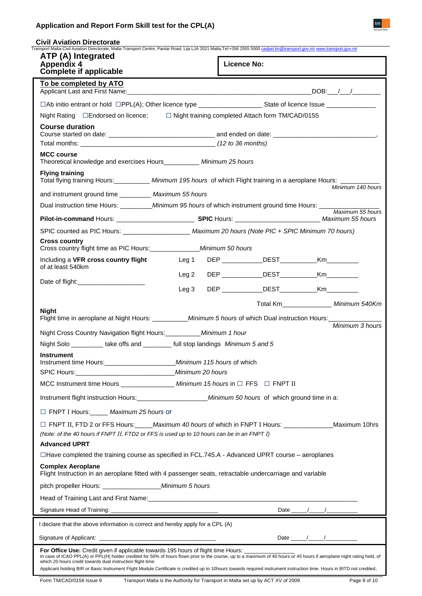# **Application and Report Form Skill test for the CPL(A)**

| <b>Civil Aviation Directorate</b><br>Transport Malta-Civil Aviation Directorate, Malta Transport Centre, Pantar Road, Lija LJA 2021 Malta.Tel:+356 2555 5000 cadpel.tm@transport.gov.mt www.transport.gov.mt                                                                                                                                                                                                                                                                                                     |                  |                                                |                           |
|------------------------------------------------------------------------------------------------------------------------------------------------------------------------------------------------------------------------------------------------------------------------------------------------------------------------------------------------------------------------------------------------------------------------------------------------------------------------------------------------------------------|------------------|------------------------------------------------|---------------------------|
| ATP (A) Integrated<br><b>Appendix 4</b><br><b>Complete if applicable</b>                                                                                                                                                                                                                                                                                                                                                                                                                                         |                  | <b>Licence No:</b>                             |                           |
| To be completed by ATO<br>Applicant Last and First Name: the contract of the contract of the contract of the contract of the contract of the contract of the contract of the contract of the contract of the contract of the contract of the contract of                                                                                                                                                                                                                                                         |                  |                                                |                           |
|                                                                                                                                                                                                                                                                                                                                                                                                                                                                                                                  |                  |                                                |                           |
| Night Rating □Endorsed on licence; □ Night training completed Attach form TM/CAD/0155                                                                                                                                                                                                                                                                                                                                                                                                                            |                  |                                                |                           |
| <b>Course duration</b>                                                                                                                                                                                                                                                                                                                                                                                                                                                                                           |                  |                                                |                           |
|                                                                                                                                                                                                                                                                                                                                                                                                                                                                                                                  |                  |                                                |                           |
|                                                                                                                                                                                                                                                                                                                                                                                                                                                                                                                  |                  |                                                |                           |
| <b>MCC course</b><br>Theoretical knowledge and exercises Hours__________ Minimum 25 hours                                                                                                                                                                                                                                                                                                                                                                                                                        |                  |                                                |                           |
| <b>Flying training</b><br>Total flying training Hours: __________ Minimum 195 hours of which Flight training in a aeroplane Hours: ______                                                                                                                                                                                                                                                                                                                                                                        |                  |                                                | Minimum 140 hours         |
| and instrument ground time ____________ Maximum 55 hours                                                                                                                                                                                                                                                                                                                                                                                                                                                         |                  |                                                |                           |
| Dual instruction time Hours: ___________ Minimum 95 hours of which instrument ground time Hours: ______                                                                                                                                                                                                                                                                                                                                                                                                          |                  |                                                | Maximum 55 hours          |
|                                                                                                                                                                                                                                                                                                                                                                                                                                                                                                                  |                  |                                                |                           |
| SPIC counted as PIC Hours: ______________________ Maximum 20 hours (Note PIC + SPIC Minimum 70 hours)                                                                                                                                                                                                                                                                                                                                                                                                            |                  |                                                |                           |
| <b>Cross country</b><br>Cross country flight time as PIC Hours: _________________ Minimum 50 hours                                                                                                                                                                                                                                                                                                                                                                                                               |                  |                                                |                           |
| Including a VFR cross country flight<br>of at least 540km                                                                                                                                                                                                                                                                                                                                                                                                                                                        | Leg 1            | DEP DEST                                       |                           |
|                                                                                                                                                                                                                                                                                                                                                                                                                                                                                                                  | Leg <sub>2</sub> | DEP _____________DEST __________               | Km                        |
|                                                                                                                                                                                                                                                                                                                                                                                                                                                                                                                  | Leg <sub>3</sub> | DEP _____________DEST_____________Km__________ |                           |
| <b>Night</b><br>Flight time in aeroplane at Night Hours: ____________ Minimum 5 hours of which Dual instruction Hours: _________<br>Night Cross Country Navigation flight Hours: __________ Minimum 1 hour                                                                                                                                                                                                                                                                                                       |                  |                                                | Minimum 3 hours           |
| Night Solo ___________ take offs and _________ full stop landings Minimum 5 and 5                                                                                                                                                                                                                                                                                                                                                                                                                                |                  |                                                |                           |
| <b>Instrument</b>                                                                                                                                                                                                                                                                                                                                                                                                                                                                                                |                  |                                                |                           |
| MCC Instrument time Hours __________________ Minimum 15 hours in □ FFS □ FNPT II                                                                                                                                                                                                                                                                                                                                                                                                                                 |                  |                                                |                           |
|                                                                                                                                                                                                                                                                                                                                                                                                                                                                                                                  |                  |                                                |                           |
|                                                                                                                                                                                                                                                                                                                                                                                                                                                                                                                  |                  |                                                |                           |
| FNPT I Hours: Maximum 25 hours or                                                                                                                                                                                                                                                                                                                                                                                                                                                                                |                  |                                                |                           |
| □ FNPT II, FTD 2 or FFS Hours: Maximum 40 hours of which in FNPT I Hours: Maximum 10hrs<br>(Note: of the 40 hours if FNPT II, FTD2 or FFS is used up to 10 hours can be in an FNPT I)                                                                                                                                                                                                                                                                                                                            |                  |                                                |                           |
| <b>Advanced UPRT</b>                                                                                                                                                                                                                                                                                                                                                                                                                                                                                             |                  |                                                |                           |
| $\Box$ Have completed the training course as specified in FCL.745.A - Advanced UPRT course – aeroplanes                                                                                                                                                                                                                                                                                                                                                                                                          |                  |                                                |                           |
| <b>Complex Aeroplane</b><br>Flight Instruction in an aeroplane fitted with 4 passenger seats, retractable undercarriage and variable                                                                                                                                                                                                                                                                                                                                                                             |                  |                                                |                           |
|                                                                                                                                                                                                                                                                                                                                                                                                                                                                                                                  |                  |                                                |                           |
|                                                                                                                                                                                                                                                                                                                                                                                                                                                                                                                  |                  |                                                |                           |
|                                                                                                                                                                                                                                                                                                                                                                                                                                                                                                                  |                  |                                                |                           |
| I declare that the above information is correct and hereby apply for a CPL (A)                                                                                                                                                                                                                                                                                                                                                                                                                                   |                  |                                                |                           |
|                                                                                                                                                                                                                                                                                                                                                                                                                                                                                                                  |                  |                                                | Date $\frac{1}{\sqrt{2}}$ |
| For Office Use: Credit given if applicable towards 195 hours of flight time Hours: ________<br>In case of ICAO PPL(A) or PPL(H) holder credited for 50% of hours flown prior to the course, up to a maximum of 40 hours or 45 hours if aeroplane night rating held, of<br>which 20 hours credit towards dual instruction flight time.<br>Applicant holding BIR or Basic Instrument Flight Module Certificate is credited up to 10hours towards required instrument instruction time. Hours in BITD not credited. |                  |                                                |                           |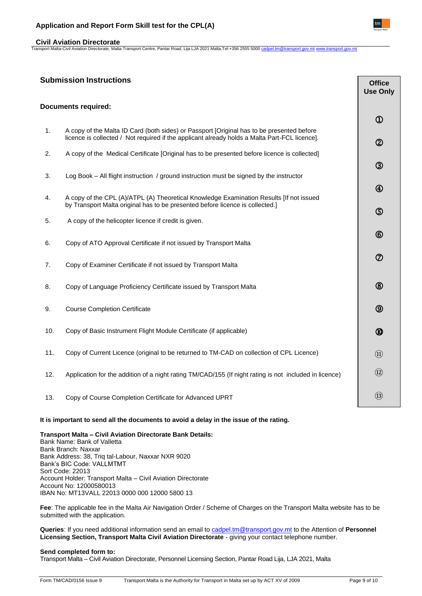# **Application and Report Form Skill test for the CPL(A)**

# **Civil Aviation Directorate**

Transport Malta-Civil Aviation Directorate, Malta Transport Centre, Pantar Road, Lija LJA 2021 Malta.Tel:+356 2555 5000 [cadpel.tm@transport.gov.mt](mailto:cadpel.tm@transport.gov.mt) [www.transport.gov.mt](http://www.transport.gov.mt/)

# **Submission Instructions**

|     |                                                                                                                                                                                            | <b>Use Only</b> |
|-----|--------------------------------------------------------------------------------------------------------------------------------------------------------------------------------------------|-----------------|
|     | <b>Documents required:</b>                                                                                                                                                                 |                 |
|     |                                                                                                                                                                                            | $^{\circledR}$  |
| 1.  | A copy of the Malta ID Card (both sides) or Passport [Original has to be presented before<br>licence is collected / Not required if the applicant already holds a Malta Part-FCL licence]. | $^{\circledR}$  |
| 2.  | A copy of the Medical Certificate [Original has to be presented before licence is collected]                                                                                               |                 |
| 3.  | Log Book - All flight instruction / ground instruction must be signed by the instructor                                                                                                    | $^{\circledR}$  |
|     |                                                                                                                                                                                            | ④               |
| 4.  | A copy of the CPL (A)/ATPL (A) Theoretical Knowledge Examination Results [If not issued<br>by Transport Malta original has to be presented before licence is collected.]                   | $\circledS$     |
| 5.  | A copy of the helicopter licence if credit is given.                                                                                                                                       |                 |
| 6.  | Copy of ATO Approval Certificate if not issued by Transport Malta                                                                                                                          | $^{\circledR}$  |
| 7.  | Copy of Examiner Certificate if not issued by Transport Malta                                                                                                                              | $^\circledR$    |
| 8.  | Copy of Language Proficiency Certificate issued by Transport Malta                                                                                                                         | $^{\circledR}$  |
| 9.  | <b>Course Completion Certificate</b>                                                                                                                                                       | $\circledS$     |
| 10. | Copy of Basic Instrument Flight Module Certificate (if applicable)                                                                                                                         | ⑩               |
| 11. | Copy of Current Licence (original to be returned to TM-CAD on collection of CPL Licence)                                                                                                   | $\Omega$        |
| 12. | Application for the addition of a night rating TM/CAD/155 (If night rating is not included in licence)                                                                                     | $\Omega$        |
| 13. | Copy of Course Completion Certificate for Advanced UPRT                                                                                                                                    | $\circled{1}$   |

# **It is important to send all the documents to avoid a delay in the issue of the rating.**

**Transport Malta – Civil Aviation Directorate Bank Details:**  Bank Name: Bank of Valletta Bank Branch: Naxxar Bank Address: 38, Triq tal-Labour, Naxxar NXR 9020 Bank's BIC Code: VALLMTMT Sort Code: 22013 Account Holder: Transport Malta – Civil Aviation Directorate Account No: 12000580013 IBAN No: MT13VALL 22013 0000 000 12000 5800 13

**Fee**: The applicable fee in the Malta Air Navigation Order / Scheme of Charges on the Transport Malta website has to be submitted with the application.

**Queries**: If you need additional information send an email to [cadpel.tm@transport.gov.mt](mailto:cadpel.tm@transport.gov.mt) to the Attention of **Personnel Licensing Section, Transport Malta Civil Aviation Directorate** - giving your contact telephone number.

# **Send completed form to:**

Transport Malta – Civil Aviation Directorate, Personnel Licensing Section, Pantar Road Lija, LJA 2021, Malta



**Office**